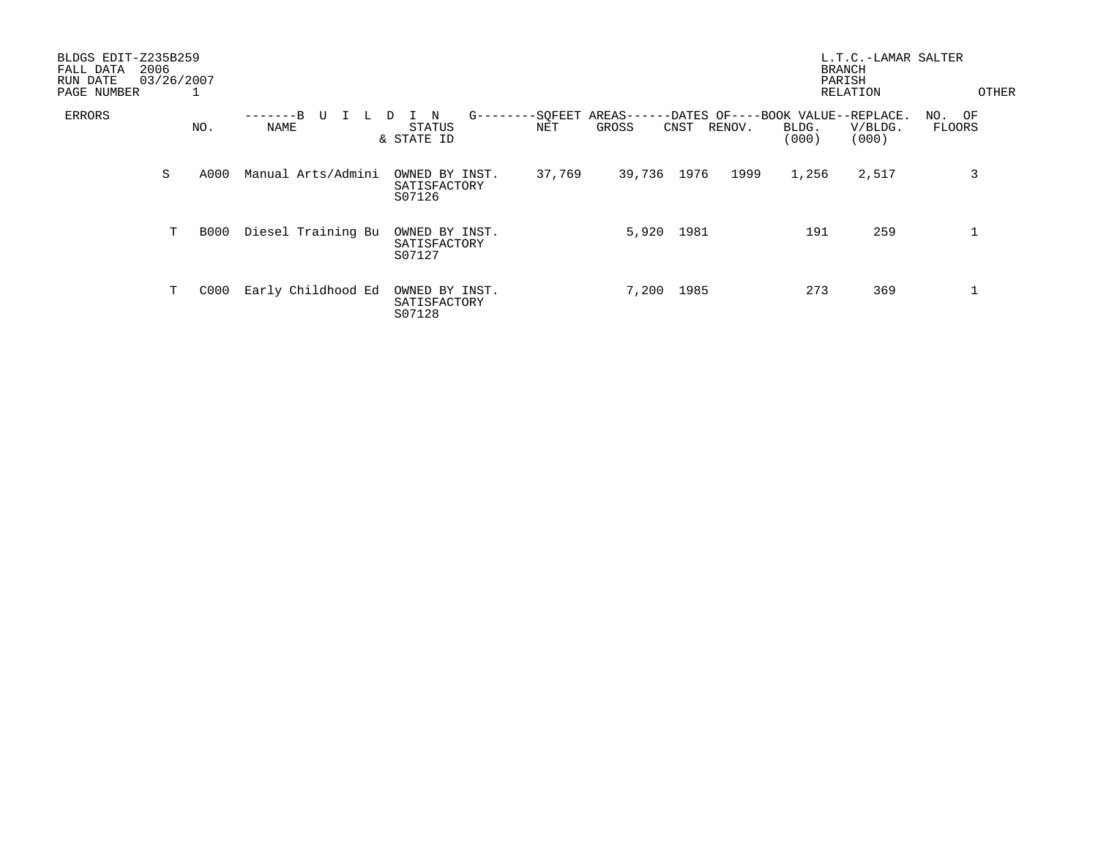| BLDGS EDIT-Z235B259<br>2006<br>FALL DATA<br>03/26/2007<br>RUN DATE<br>PAGE NUMBER<br>⊥ |   |      |                    |                                              |                 |                                                      |            |        | L.T.C.-LAMAR SALTER<br><b>BRANCH</b><br>PARISH<br>RELATION |                  | OTHER            |  |
|----------------------------------------------------------------------------------------|---|------|--------------------|----------------------------------------------|-----------------|------------------------------------------------------|------------|--------|------------------------------------------------------------|------------------|------------------|--|
| ERRORS                                                                                 |   | NO.  | $-R$<br>U<br>NAME  | $G$ ------<br>N<br>D<br>STATUS<br>& STATE ID | --SQFEET<br>NET | AREAS------DATES OF----BOOK VALUE--REPLACE.<br>GROSS | CNST       | RENOV. | BLDG.<br>(000)                                             | V/BLDG.<br>(000) | NO. OF<br>FLOORS |  |
|                                                                                        | S | A000 | Manual Arts/Admini | OWNED BY INST.<br>SATISFACTORY<br>S07126     | 37,769          | 39,736 1976                                          |            | 1999   | 1,256                                                      | 2,517            | 3                |  |
|                                                                                        | Т | B000 | Diesel Training Bu | OWNED BY INST.<br>SATISFACTORY<br>S07127     |                 |                                                      | 5,920 1981 |        | 191                                                        | 259              |                  |  |
|                                                                                        | Т | C000 | Early Childhood Ed | OWNED BY INST.<br>SATISFACTORY<br>S07128     |                 | 7,200                                                | 1985       |        | 273                                                        | 369              |                  |  |